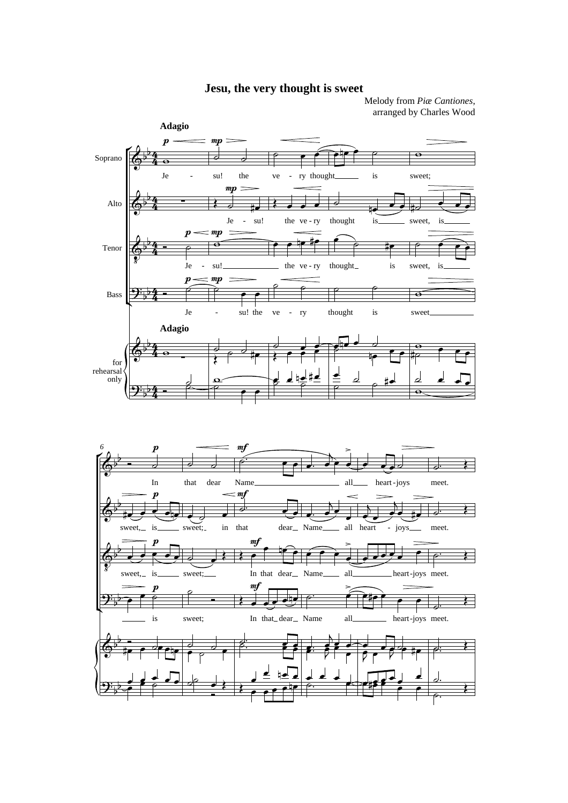## **Jesu, the very thought is sweet**

Melody from *Piæ Cantiones*, arranged by Charles Wood



4

 $\overset{\bullet}{\phantom{}}$   $\overset{\bullet}{\phantom{}}$ 

 $\frac{1}{\rho}$ 

 $\overline{a}$